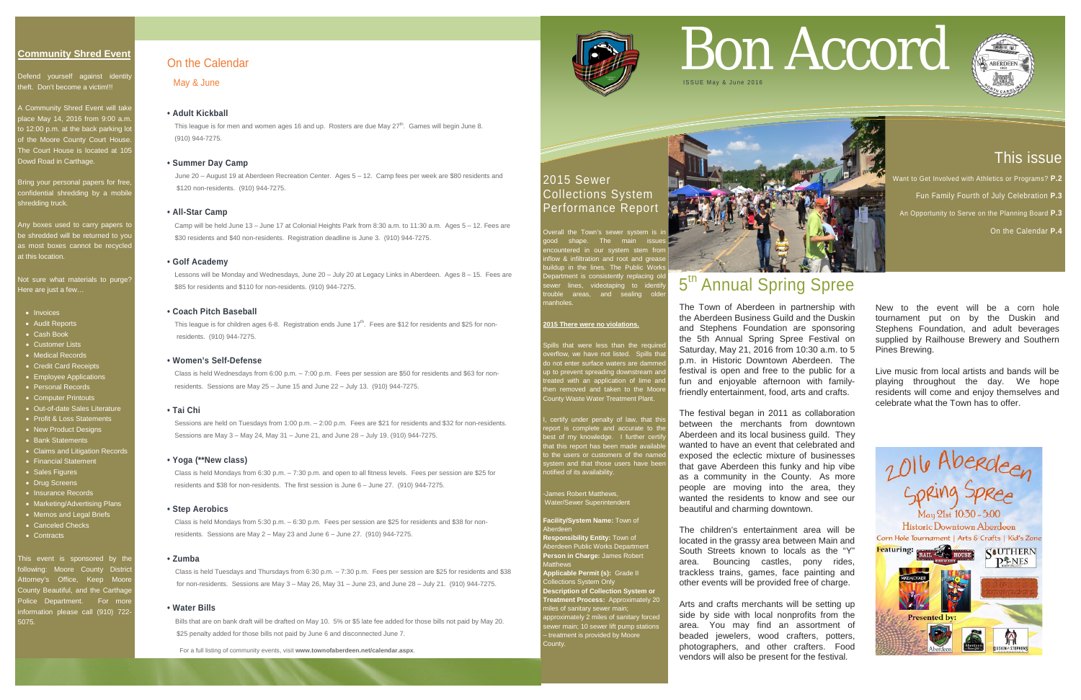# This issue

Want to Get Involved with Athletics or Programs? **P.2** 

- Fun Family Fourth of July Celebration **P.3**
- An Opportunity to Serve on the Planning Board **P.3**

Defend yourself against identity theft. Don't become a victim!!!

On the Calendar **P.4**

#### **Community Shred Event**

Any boxes used to carry papers to be shredded will be returned to you as most boxes cannot be recycle at this location.

Not sure what materials to purge<sup>®</sup> Here are just a few…

A Community Shred Event will take place May 14, 2016 from 9:00 a.m. to 12:00 p.m. at the back parking lot of the Moore County Court House The Court House is located at 105 Dowd Road in Carthage.

- Invoices
- Audit Reports
- Cash Book
- Customer Lists
- Medical Records
- Credit Card Receipts
- Employee Applications
- Personal Records
- Computer Printouts
- Out-of-date Sales Literature
- Profit & Loss Statements
- New Product Designs
- Bank Statements
- Claims and Litigation Records • Financial Statement
- Sales Figures
- Drug Screens
- Insurance Records
- Marketing/Advertising Plans
- Memos and Legal Briefs
- Canceled Checks
- Contracts

Bring your personal papers for free, confidential shredding by a mobile shredding truck.

This event is sponsored by the ollowing: Moore County Distric Attorney's Office, Keep Moore County Beautiful, and the Carthage Police Department. For more nformation please call (910) 722-5075.

# 2015 Sewer Collections System **Performance Repor**

Overall the Town's sewer system is shape. The main issues ered in our system stem from flow & infiltration and root and grease ildup in the lines. The Public Work partment is consistently replacing ole ewer lines, videotaping to identi<mark>f</mark> trouble areas, and sealing older manholes.

I, certify under penalty of law, that this report is complete and accurate to the best of my knowledge. I further certify at this report has been made available to the users or customers of the name ystem and that those users have bee otified of its availability.

#### James Robert Matthews, Water/Sewer Superintendent

**Description of Collection System or Treatment Process:** Approximately 20 iles of sanitary sewer main; approximately 2 miles of sanitary forced ewer main; 10 sewer lift pump stations treatment is provided by Moore :cunty.



# 5<sup>th</sup> Annual Spring Spree

This league is for men and women ages 16 and up. Rosters are due May  $27<sup>th</sup>$ . Games will begin June 8. (910) 944-7275.

#### **2015 There were no violations.**

This league is for children ages 6-8. Registration ends June  $17<sup>th</sup>$ . Fees are \$12 for residents and \$25 for nonresidents. (910) 944-7275.

> Spills that were less than the required overflow, we have not listed. Spills that do not enter surface waters are dammed p not enter surface waters are during<br>o to prevent spreading downstream an eated with an application of lime and en removed and taken to the Moor County Waste Water Treatment Plant.

**Facility/System Name:** Town of Aberdeen

**Responsibility Entity:** Town of Aberdeen Public Works Department **Person in Charge:** James Robert Matthews **Applicable Permit (s):** Grade II Collections System Only

For a full listing of community events, visit **www.townofaberdeen.net/calendar.aspx**.



#### On the Calendar

May & June

#### **• Adult Kickball**

#### **• Summer Day Camp**

June 20 – August 19 at Aberdeen Recreation Center. Ages 5 – 12. Camp fees per week are \$80 residents and \$120 non-residents. (910) 944-7275.

#### **• All-Star Camp**

 Camp will be held June 13 – June 17 at Colonial Heights Park from 8:30 a.m. to 11:30 a.m. Ages 5 – 12. Fees are \$30 residents and \$40 non-residents. Registration deadline is June 3. (910) 944-7275.

#### **• Golf Academy**

 Lessons will be Monday and Wednesdays, June 20 – July 20 at Legacy Links in Aberdeen. Ages 8 – 15. Fees are \$85 for residents and \$110 for non-residents. (910) 944-7275.

#### **• Coach Pitch Baseball**

#### **• Women's Self-Defense**

 Class is held Wednesdays from 6:00 p.m. – 7:00 p.m. Fees per session are \$50 for residents and \$63 for non residents. Sessions are May 25 – June 15 and June 22 – July 13. (910) 944-7275.

#### **• Tai Chi**

 Sessions are held on Tuesdays from 1:00 p.m. – 2:00 p.m. Fees are \$21 for residents and \$32 for non-residents. Sessions are May 3 – May 24, May 31 – June 21, and June 28 – July 19. (910) 944-7275.

#### **• Yoga (\*\*New class)**

 Class is held Mondays from 6:30 p.m. – 7:30 p.m. and open to all fitness levels. Fees per session are \$25 for residents and \$38 for non-residents. The first session is June 6 – June 27. (910) 944-7275.

#### **• Step Aerobics**

 Class is held Mondays from 5:30 p.m. – 6:30 p.m. Fees per session are \$25 for residents and \$38 for non residents. Sessions are May 2 – May 23 and June 6 – June 27. (910) 944-7275.

#### **• Zumba**

Class is held Tuesdays and Thursdays from 6:30 p.m. – 7:30 p.m. Fees per session are \$25 for residents and \$38 for non-residents. Sessions are May 3 – May 26, May 31 – June 23, and June 28 – July 21. (910) 944-7275.

#### **• Water Bills**

Bills that are on bank draft will be drafted on May 10. 5% or \$5 late fee added for those bills not paid by May 20. \$25 penalty added for those bills not paid by June 6 and disconnected June 7.

# Bon Accord



The Town of Aberdeen in partnership with the Aberdeen Business Guild and the Duskin and Stephens Foundation are sponsoring the 5th Annual Spring Spree Festival on Saturday, May 21, 2016 from 10:30 a.m. to 5 p.m. in Historic Downtown Aberdeen. The festival is open and free to the public for a fun and enjoyable afternoon with familyfriendly entertainment, food, arts and crafts.

The festival began in 2011 as collaboration between the merchants from downtown Aberdeen and its local business guild. They wanted to have an event that celebrated and exposed the eclectic mixture of businesses that gave Aberdeen this funky and hip vibe as a community in the County. As more people are moving into the area, they wanted the residents to know and see our beautiful and charming downtown.

The children's entertainment area will be located in the grassy area between Main and South Streets known to locals as the "Y" area. Bouncing castles, pony rides, trackless trains, games, face painting and other events will be provided free of charge.

Arts and crafts merchants will be setting up side by side with local nonprofits from the area. You may find an assortment of beaded jewelers, wood crafters, potters, photographers, and other crafters. Food vendors will also be present for the festival.

New to the event will be a corn hole tournament put on by the Duskin and Stephens Foundation, and adult beverages supplied by Railhouse Brewery and Southern Pines Brewing.

Live music from local artists and bands will be playing throughout the day. We hope residents will come and enjoy themselves and celebrate what the Town has to offer.